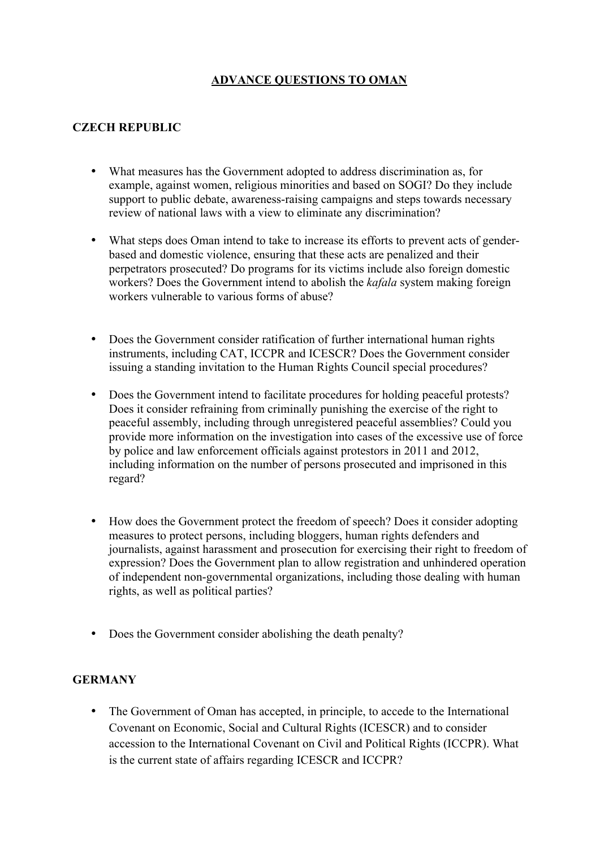# **ADVANCE QUESTIONS TO OMAN**

## **CZECH REPUBLIC**

- What measures has the Government adopted to address discrimination as, for example, against women, religious minorities and based on SOGI? Do they include support to public debate, awareness-raising campaigns and steps towards necessary review of national laws with a view to eliminate any discrimination?
- What steps does Oman intend to take to increase its efforts to prevent acts of genderbased and domestic violence, ensuring that these acts are penalized and their perpetrators prosecuted? Do programs for its victims include also foreign domestic workers? Does the Government intend to abolish the *kafala* system making foreign workers vulnerable to various forms of abuse?
- Does the Government consider ratification of further international human rights instruments, including CAT, ICCPR and ICESCR? Does the Government consider issuing a standing invitation to the Human Rights Council special procedures?
- Does the Government intend to facilitate procedures for holding peaceful protests? Does it consider refraining from criminally punishing the exercise of the right to peaceful assembly, including through unregistered peaceful assemblies? Could you provide more information on the investigation into cases of the excessive use of force by police and law enforcement officials against protestors in 2011 and 2012, including information on the number of persons prosecuted and imprisoned in this regard?
- How does the Government protect the freedom of speech? Does it consider adopting measures to protect persons, including bloggers, human rights defenders and journalists, against harassment and prosecution for exercising their right to freedom of expression? Does the Government plan to allow registration and unhindered operation of independent non-governmental organizations, including those dealing with human rights, as well as political parties?
- Does the Government consider abolishing the death penalty?

### **GERMANY**

The Government of Oman has accepted, in principle, to accede to the International Covenant on Economic, Social and Cultural Rights (ICESCR) and to consider accession to the International Covenant on Civil and Political Rights (ICCPR). What is the current state of affairs regarding ICESCR and ICCPR?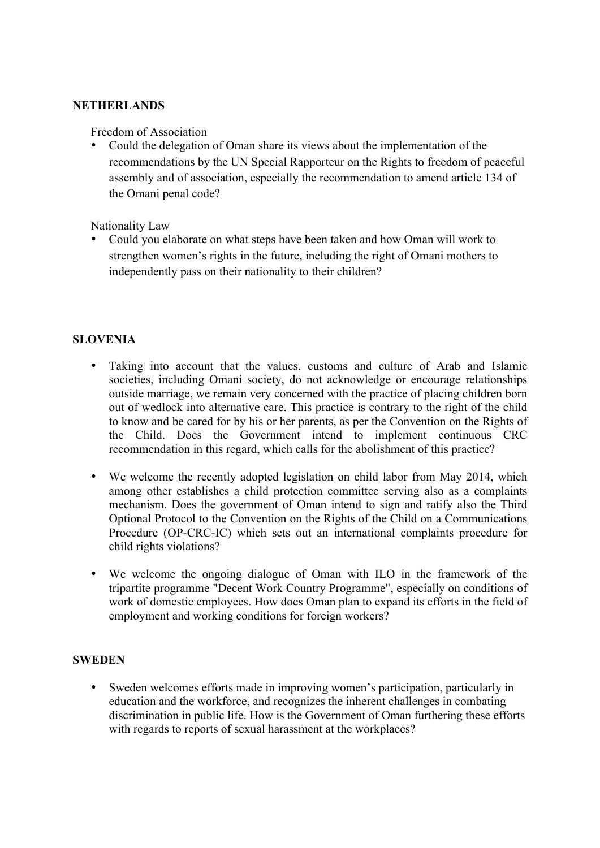#### **NETHERLANDS**

Freedom of Association

• Could the delegation of Oman share its views about the implementation of the recommendations by the UN Special Rapporteur on the Rights to freedom of peaceful assembly and of association, especially the recommendation to amend article 134 of the Omani penal code?

Nationality Law

• Could you elaborate on what steps have been taken and how Oman will work to strengthen women's rights in the future, including the right of Omani mothers to independently pass on their nationality to their children?

#### **SLOVENIA**

- Taking into account that the values, customs and culture of Arab and Islamic societies, including Omani society, do not acknowledge or encourage relationships outside marriage, we remain very concerned with the practice of placing children born out of wedlock into alternative care. This practice is contrary to the right of the child to know and be cared for by his or her parents, as per the Convention on the Rights of the Child. Does the Government intend to implement continuous CRC recommendation in this regard, which calls for the abolishment of this practice?
- We welcome the recently adopted legislation on child labor from May 2014, which among other establishes a child protection committee serving also as a complaints mechanism. Does the government of Oman intend to sign and ratify also the Third Optional Protocol to the Convention on the Rights of the Child on a Communications Procedure (OP-CRC-IC) which sets out an international complaints procedure for child rights violations?
- We welcome the ongoing dialogue of Oman with ILO in the framework of the tripartite programme "Decent Work Country Programme", especially on conditions of work of domestic employees. How does Oman plan to expand its efforts in the field of employment and working conditions for foreign workers?

#### **SWEDEN**

Sweden welcomes efforts made in improving women's participation, particularly in education and the workforce, and recognizes the inherent challenges in combating discrimination in public life. How is the Government of Oman furthering these efforts with regards to reports of sexual harassment at the workplaces?